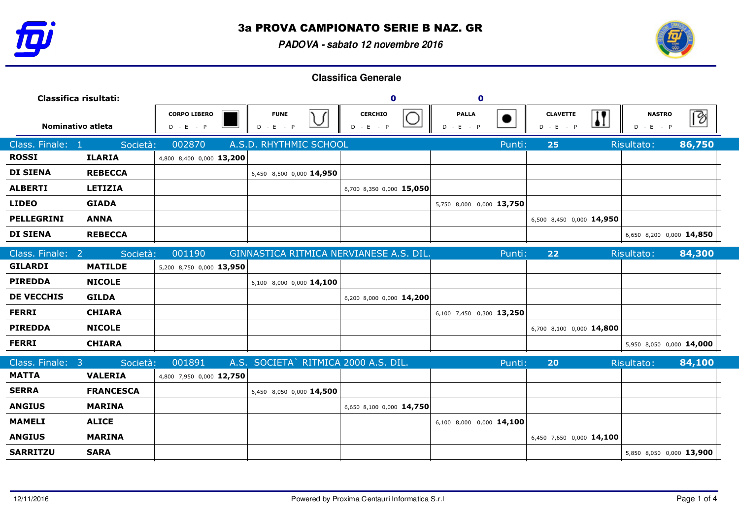

**PADOVA - sabato 12 novembre 2016**



| Classifica risultati:              |                  |                                    | $\mathbf 0$                             | $\mathbf 0$                   |                             |                                                |                              |        |
|------------------------------------|------------------|------------------------------------|-----------------------------------------|-------------------------------|-----------------------------|------------------------------------------------|------------------------------|--------|
| Nominativo atleta                  |                  | <b>CORPO LIBERO</b><br>$D - E - P$ | <b>FUNE</b><br>$D - E$<br>$-$ P         | <b>CERCHIO</b><br>$D - E - P$ | <b>PALLA</b><br>$D - E - P$ | <b>CLAVETTE</b><br>$\mathbf{I}$<br>$D - E - P$ | <b>NASTRO</b><br>$D - E - P$ | Ø      |
| Class. Finale:<br>$\blacksquare$ 1 | Società:         | 002870                             | A.S.D. RHYTHMIC SCHOOL                  |                               | Punti:                      | 25                                             | Risultato:                   | 86,750 |
| <b>ROSSI</b>                       | <b>ILARIA</b>    | 4,800 8,400 0,000 13,200           |                                         |                               |                             |                                                |                              |        |
| <b>DI SIENA</b>                    | <b>REBECCA</b>   |                                    | 6,450 8,500 0,000 14,950                |                               |                             |                                                |                              |        |
| <b>ALBERTI</b>                     | <b>LETIZIA</b>   |                                    |                                         | 6,700 8,350 0,000 15,050      |                             |                                                |                              |        |
| <b>LIDEO</b>                       | <b>GIADA</b>     |                                    |                                         |                               | 5,750 8,000 0,000 13,750    |                                                |                              |        |
| <b>PELLEGRINI</b>                  | <b>ANNA</b>      |                                    |                                         |                               |                             | 6,500 8,450 0,000 14,950                       |                              |        |
| <b>DI SIENA</b>                    | <b>REBECCA</b>   |                                    |                                         |                               |                             |                                                | 6,650 8,200 0,000 14,850     |        |
| Class. Finale: 2                   | Società:         | 001190                             | GINNASTICA RITMICA NERVIANESE A.S. DIL. |                               | Punti:                      | 22                                             | Risultato:                   | 84,300 |
| <b>GILARDI</b>                     | <b>MATILDE</b>   | 5,200 8,750 0,000 13,950           |                                         |                               |                             |                                                |                              |        |
| <b>PIREDDA</b>                     | <b>NICOLE</b>    |                                    | 6,100 8,000 0,000 14,100                |                               |                             |                                                |                              |        |
| <b>DE VECCHIS</b>                  | <b>GILDA</b>     |                                    |                                         | 6,200 8,000 0,000 14,200      |                             |                                                |                              |        |
| <b>FERRI</b>                       | <b>CHIARA</b>    |                                    |                                         |                               | 6,100 7,450 0,300 13,250    |                                                |                              |        |
| <b>PIREDDA</b>                     | <b>NICOLE</b>    |                                    |                                         |                               |                             | 6,700 8,100 0,000 14,800                       |                              |        |
| <b>FERRI</b>                       | <b>CHIARA</b>    |                                    |                                         |                               |                             |                                                | 5,950 8,050 0,000 14,000     |        |
| Class. Finale: 3                   | Società:         | 001891                             | A.S. SOCIETA` RITMICA 2000 A.S. DIL.    |                               | Punti:                      | 20                                             | Risultato:                   | 84,100 |
| <b>MATTA</b>                       | <b>VALERIA</b>   | 4,800 7,950 0,000 12,750           |                                         |                               |                             |                                                |                              |        |
| <b>SERRA</b>                       | <b>FRANCESCA</b> |                                    | 6,450 8,050 0,000 14,500                |                               |                             |                                                |                              |        |
| <b>ANGIUS</b>                      | <b>MARINA</b>    |                                    |                                         | 6,650 8,100 0,000 14,750      |                             |                                                |                              |        |
| <b>MAMELI</b>                      | <b>ALICE</b>     |                                    |                                         |                               | 6,100 8,000 0,000 14,100    |                                                |                              |        |
| <b>ANGIUS</b>                      | <b>MARINA</b>    |                                    |                                         |                               |                             | 6,450 7,650 0,000 14,100                       |                              |        |
| <b>SARRITZU</b>                    | <b>SARA</b>      |                                    |                                         |                               |                             |                                                | 5,850 8,050 0,000 13,900     |        |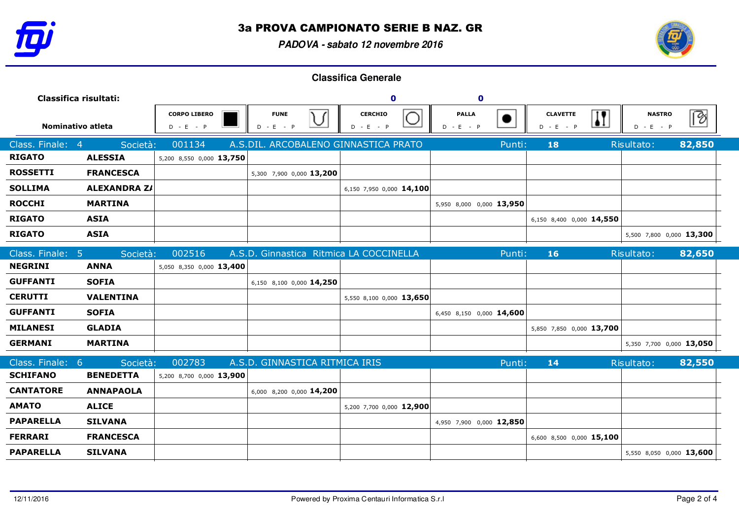

**PADOVA - sabato 12 novembre 2016**



| Classifica risultati:            |                     |                                    | $\mathbf 0$                             | $\mathbf 0$                   |                                          |                                                           |                              |        |
|----------------------------------|---------------------|------------------------------------|-----------------------------------------|-------------------------------|------------------------------------------|-----------------------------------------------------------|------------------------------|--------|
| Nominativo atleta                |                     | <b>CORPO LIBERO</b><br>$D - E - P$ | <b>FUNE</b><br>◡<br>$D - E - P$         | <b>CERCHIO</b><br>$D - E - P$ | <b>PALLA</b><br>$\bullet$<br>$D - E - P$ | $\overline{\mathbf{H}}$<br><b>CLAVETTE</b><br>$D - E - P$ | <b>NASTRO</b><br>$D - E - P$ | >      |
| Class. Finale:<br>$\overline{4}$ | Società:            | 001134                             | A.S.DIL. ARCOBALENO GINNASTICA PRATO    |                               | Punti:                                   | 18                                                        | Risultato:                   | 82,850 |
| <b>RIGATO</b>                    | <b>ALESSIA</b>      | 5,200 8,550 0,000 13,750           |                                         |                               |                                          |                                                           |                              |        |
| <b>ROSSETTI</b>                  | <b>FRANCESCA</b>    |                                    | 5,300 7,900 0,000 13,200                |                               |                                          |                                                           |                              |        |
| <b>SOLLIMA</b>                   | <b>ALEXANDRA Z/</b> |                                    |                                         | 6,150 7,950 0,000 14,100      |                                          |                                                           |                              |        |
| <b>ROCCHI</b>                    | <b>MARTINA</b>      |                                    |                                         |                               | 5,950 8,000 0,000 13,950                 |                                                           |                              |        |
| <b>RIGATO</b>                    | <b>ASIA</b>         |                                    |                                         |                               |                                          | 6,150 8,400 0,000 14,550                                  |                              |        |
| <b>RIGATO</b>                    | <b>ASIA</b>         |                                    |                                         |                               |                                          |                                                           | 5,500 7,800 0,000 13,300     |        |
| Class. Finale: 5                 | Società:            | 002516                             | A.S.D. Ginnastica Ritmica LA COCCINELLA |                               | Punti:                                   | 16                                                        | Risultato:                   | 82,650 |
| <b>NEGRINI</b>                   | <b>ANNA</b>         | 5,050 8,350 0,000 13,400           |                                         |                               |                                          |                                                           |                              |        |
| <b>GUFFANTI</b>                  | <b>SOFIA</b>        |                                    | 6,150 8,100 0,000 14,250                |                               |                                          |                                                           |                              |        |
| <b>CERUTTI</b>                   | <b>VALENTINA</b>    |                                    |                                         | 5,550 8,100 0,000 13,650      |                                          |                                                           |                              |        |
| <b>GUFFANTI</b>                  | <b>SOFIA</b>        |                                    |                                         |                               | 6,450 8,150 0,000 14,600                 |                                                           |                              |        |
| <b>MILANESI</b>                  | <b>GLADIA</b>       |                                    |                                         |                               |                                          | 5,850 7,850 0,000 13,700                                  |                              |        |
| <b>GERMANI</b>                   | <b>MARTINA</b>      |                                    |                                         |                               |                                          |                                                           | 5,350 7,700 0,000 13,050     |        |
| Class. Finale: 6                 | Società:            | 002783                             | A.S.D. GINNASTICA RITMICA IRIS          |                               | Punti:                                   | 14                                                        | Risultato:                   | 82,550 |
| <b>SCHIFANO</b>                  | <b>BENEDETTA</b>    | 5,200 8,700 0,000 13,900           |                                         |                               |                                          |                                                           |                              |        |
| <b>CANTATORE</b>                 | <b>ANNAPAOLA</b>    |                                    | 6,000 8,200 0,000 14,200                |                               |                                          |                                                           |                              |        |
| <b>AMATO</b>                     | <b>ALICE</b>        |                                    |                                         | 5,200 7,700 0,000 12,900      |                                          |                                                           |                              |        |
| <b>PAPARELLA</b>                 | <b>SILVANA</b>      |                                    |                                         |                               | 4,950 7,900 0,000 12,850                 |                                                           |                              |        |
| <b>FERRARI</b>                   | <b>FRANCESCA</b>    |                                    |                                         |                               |                                          | 6,600 8,500 0,000 15,100                                  |                              |        |
| <b>PAPARELLA</b>                 | <b>SILVANA</b>      |                                    |                                         |                               |                                          |                                                           | 5,550 8,050 0,000 13,600     |        |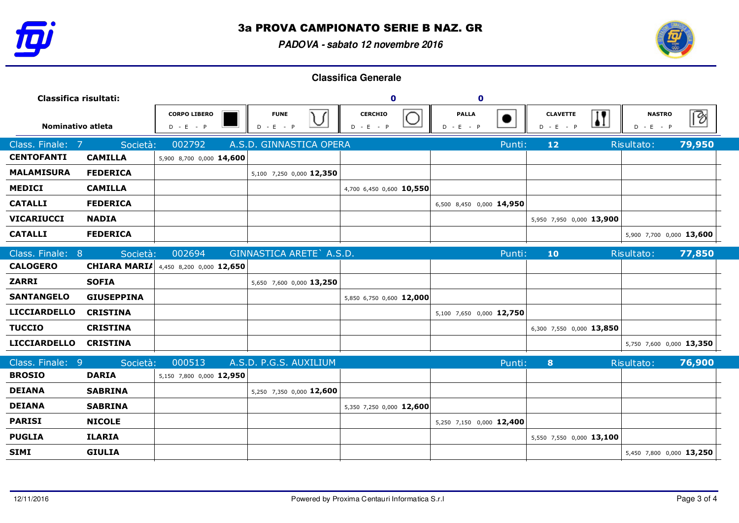

**PADOVA - sabato 12 novembre 2016**



| Classifica risultati:                                   |                     |                            | $\mathbf 0$                   | $\mathbf 0$                 |                                            |                                     |                          |  |
|---------------------------------------------------------|---------------------|----------------------------|-------------------------------|-----------------------------|--------------------------------------------|-------------------------------------|--------------------------|--|
| <b>CORPO LIBERO</b><br>Nominativo atleta<br>$D - E - P$ |                     | <b>FUNE</b><br>$D - E - P$ | <b>CERCHIO</b><br>$D - E - P$ | <b>PALLA</b><br>$D - E - P$ | $\bf{I}$<br><b>CLAVETTE</b><br>$D - E - P$ | ∣⊗ি<br><b>NASTRO</b><br>$D - E - P$ |                          |  |
| Class. Finale:<br>$\overline{7}$                        | Società:            | 002792                     | A.S.D. GINNASTICA OPERA       |                             | Punti:                                     | $12$                                | 79,950<br>Risultato:     |  |
| <b>CENTOFANTI</b>                                       | <b>CAMILLA</b>      | 5,900 8,700 0,000 14,600   |                               |                             |                                            |                                     |                          |  |
| <b>MALAMISURA</b>                                       | <b>FEDERICA</b>     |                            | 5,100 7,250 0,000 12,350      |                             |                                            |                                     |                          |  |
| <b>MEDICI</b>                                           | <b>CAMILLA</b>      |                            |                               | 4,700 6,450 0,600 10,550    |                                            |                                     |                          |  |
| <b>CATALLI</b>                                          | <b>FEDERICA</b>     |                            |                               |                             | 6,500 8,450 0,000 14,950                   |                                     |                          |  |
| <b>VICARIUCCI</b>                                       | <b>NADIA</b>        |                            |                               |                             |                                            | 5,950 7,950 0,000 13,900            |                          |  |
| <b>CATALLI</b>                                          | <b>FEDERICA</b>     |                            |                               |                             |                                            |                                     | 5,900 7,700 0,000 13,600 |  |
| Class. Finale:<br>8                                     | Società:            | 002694                     | GINNASTICA ARETE` A.S.D.      |                             | Punti:                                     | 10                                  | Risultato:<br>77,850     |  |
| <b>CALOGERO</b>                                         | <b>CHIARA MARIA</b> | 4,450 8,200 0,000 12,650   |                               |                             |                                            |                                     |                          |  |
| <b>ZARRI</b>                                            | <b>SOFIA</b>        |                            | 5,650 7,600 0,000 13,250      |                             |                                            |                                     |                          |  |
| <b>SANTANGELO</b>                                       | <b>GIUSEPPINA</b>   |                            |                               | 5,850 6,750 0,600 12,000    |                                            |                                     |                          |  |
| <b>LICCIARDELLO</b>                                     | <b>CRISTINA</b>     |                            |                               |                             | 5,100 7,650 0,000 12,750                   |                                     |                          |  |
| <b>TUCCIO</b>                                           | <b>CRISTINA</b>     |                            |                               |                             |                                            | 6,300 7,550 0,000 13,850            |                          |  |
| <b>LICCIARDELLO</b>                                     | <b>CRISTINA</b>     |                            |                               |                             |                                            |                                     | 5,750 7,600 0,000 13,350 |  |
| Class. Finale: 9                                        | Società:            | 000513                     | A.S.D. P.G.S. AUXILIUM        |                             | Punti:                                     | 8                                   | 76,900<br>Risultato:     |  |
| <b>BROSIO</b>                                           | <b>DARIA</b>        | 5,150 7,800 0,000 12,950   |                               |                             |                                            |                                     |                          |  |
| <b>DEIANA</b>                                           | <b>SABRINA</b>      |                            | 5,250 7,350 0,000 12,600      |                             |                                            |                                     |                          |  |
| <b>DEIANA</b>                                           | <b>SABRINA</b>      |                            |                               | 5,350 7,250 0,000 12,600    |                                            |                                     |                          |  |
| <b>PARISI</b>                                           | <b>NICOLE</b>       |                            |                               |                             | 5,250 7,150 0,000 12,400                   |                                     |                          |  |
| <b>PUGLIA</b>                                           | <b>ILARIA</b>       |                            |                               |                             |                                            | 5,550 7,550 0,000 13,100            |                          |  |
| <b>SIMI</b>                                             | <b>GIULIA</b>       |                            |                               |                             |                                            |                                     | 5,450 7,800 0,000 13,250 |  |
|                                                         |                     |                            |                               |                             |                                            |                                     |                          |  |